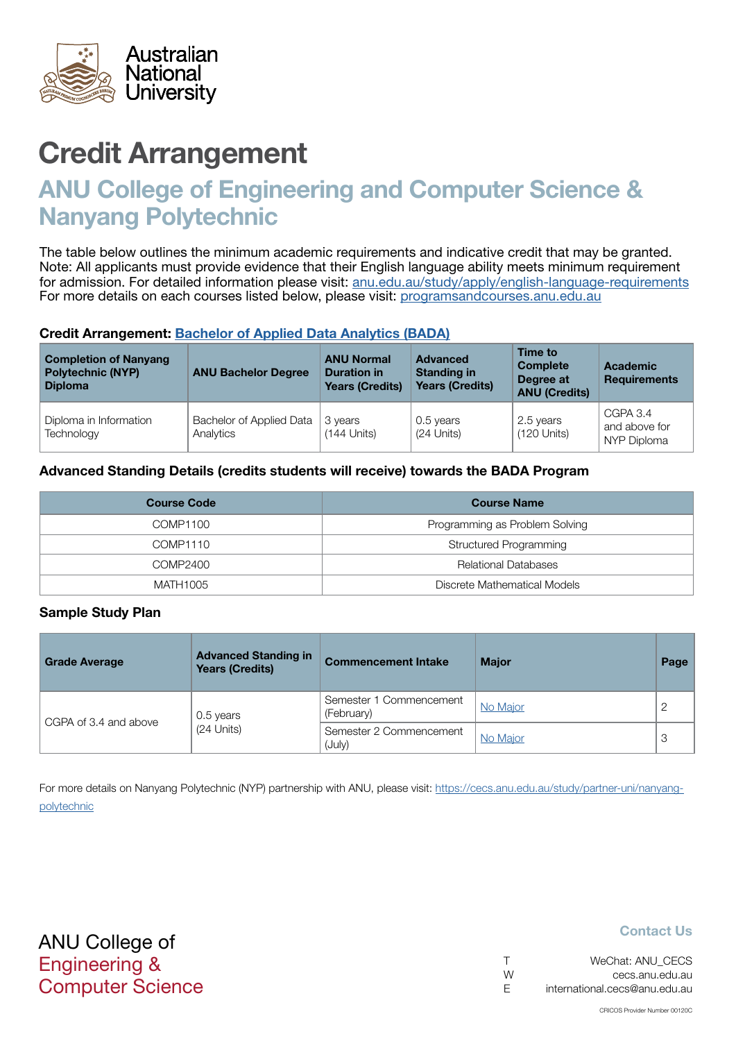

# Credit Arrangement

# ANU College of Engineering and Computer Science & Nanyang Polytechnic

The table below outlines the minimum academic requirements and indicative credit that may be granted. Note: All applicants must provide evidence that their English language ability meets minimum requirement for admission. For detailed information please visit: [anu.edu.au/study/apply/english-language-requirements](http://anu.edu.au/study/apply/english-language-requirements) For more details on each courses listed below, please visit: [programsandcourses.anu.edu.au](http://programsandcourses.anu.edu.au/program/BIT)

#### Credit Arrangement: [Bachelor of Applied Data Analytics](http://programsandcourses.anu.edu.au/program/BADAN) (BADA)

| <b>Completion of Nanyang</b><br><b>Polytechnic (NYP)</b><br><b>Diploma</b> | <b>ANU Bachelor Degree</b>            | <b>ANU Normal</b><br><b>Duration in</b><br><b>Years (Credits)</b> | <b>Advanced</b><br><b>Standing in</b><br><b>Years (Credits)</b> | Time to<br><b>Complete</b><br>Degree at<br><b>ANU (Credits)</b> | <b>Academic</b><br><b>Requirements</b>   |
|----------------------------------------------------------------------------|---------------------------------------|-------------------------------------------------------------------|-----------------------------------------------------------------|-----------------------------------------------------------------|------------------------------------------|
| Diploma in Information<br>Technology                                       | Bachelor of Applied Data<br>Analytics | 3 years<br>$(144$ Units)                                          | 0.5 years<br>$(24$ Units)                                       | 2.5 years<br>$(120$ Units)                                      | CGPA 3.4<br>and above for<br>NYP Diploma |

### Advanced Standing Details (credits students will receive) towards the BADA Program

| <b>Course Code</b> | <b>Course Name</b>             |
|--------------------|--------------------------------|
| COMP1100           | Programming as Problem Solving |
| COMP1110           | Structured Programming         |
| COMP2400           | <b>Relational Databases</b>    |
| MATH1005           | Discrete Mathematical Models   |

#### Sample Study Plan

| <b>Grade Average</b>  | <b>Advanced Standing in</b><br><b>Years (Credits)</b> | <b>Commencement Intake</b>            | <b>Major</b> | Page |
|-----------------------|-------------------------------------------------------|---------------------------------------|--------------|------|
|                       | 0.5 years                                             | Semester 1 Commencement<br>(February) | No Major     |      |
| CGPA of 3.4 and above | $(24$ Units)                                          | Semester 2 Commencement<br>(July)     | No Major     | 3    |

For more details on Nanyang Polytechnic (NYP) partnership with ANU, please visit: https://cecs.anu.edu.au/study/partner-uni/nanyangpolytechnic

### Contact Us

| $\top$ | WeChat: ANU CECS              |
|--------|-------------------------------|
| W      | cecs.anu.edu.au               |
| -F     | international.cecs@anu.edu.au |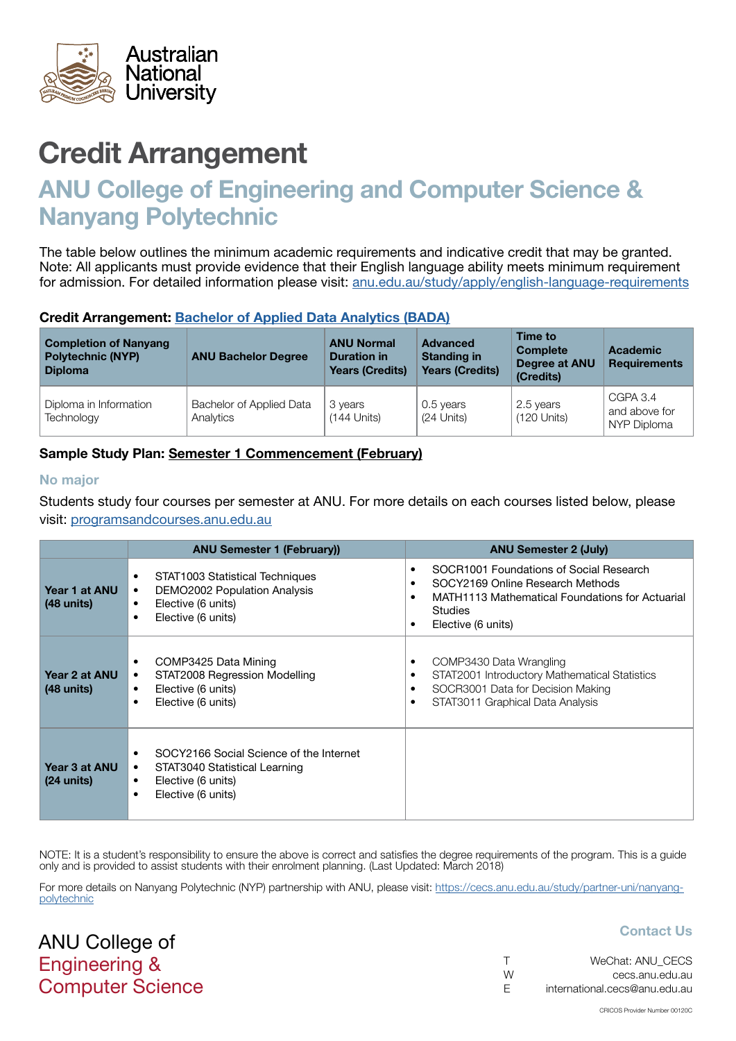<span id="page-1-0"></span>

# Credit Arrangement

# ANU College of Engineering and Computer Science & Nanyang Polytechnic

The table below outlines the minimum academic requirements and indicative credit that may be granted. Note: All applicants must provide evidence that their English language ability meets minimum requirement for admission. For detailed information please visit: [anu.edu.au/study/apply/english-language-requirements](http://anu.edu.au/study/apply/english-language-requirements)

### Credit Arrangement: [Bachelor of Applied Data Analytics](http://programsandcourses.anu.edu.au/program/BADAN) (BADA)

| <b>Completion of Nanyang</b><br><b>Polytechnic (NYP)</b><br><b>Diploma</b> | <b>ANU Bachelor Degree</b>            | <b>ANU Normal</b><br><b>Duration in</b><br><b>Years (Credits)</b> | <b>Advanced</b><br><b>Standing in</b><br><b>Years (Credits)</b> | Time to<br><b>Complete</b><br>Degree at ANU<br>(Credits) | <b>Academic</b><br><b>Requirements</b>   |
|----------------------------------------------------------------------------|---------------------------------------|-------------------------------------------------------------------|-----------------------------------------------------------------|----------------------------------------------------------|------------------------------------------|
| Diploma in Information<br>Technology                                       | Bachelor of Applied Data<br>Analytics | 3 years<br>$(144$ Units)                                          | 0.5 years<br>(24 Units)                                         | 2.5 years<br>$(120$ Units)                               | CGPA 3.4<br>and above for<br>NYP Diploma |

### Sample Study Plan: Semester 1 Commencement (February)

#### No major

Students study four courses per semester at ANU. For more details on each courses listed below, please visit: [programsandcourses.anu.edu.au](http://programsandcourses.anu.edu.au/program/BIT)

|                                       | <b>ANU Semester 1 (February))</b>                                                                                                                   | <b>ANU Semester 2 (July)</b>                                                                                                                                           |
|---------------------------------------|-----------------------------------------------------------------------------------------------------------------------------------------------------|------------------------------------------------------------------------------------------------------------------------------------------------------------------------|
| Year 1 at ANU<br>$(48 \text{ units})$ | STAT1003 Statistical Techniques<br>٠<br>DEMO2002 Population Analysis<br>٠<br>Elective (6 units)<br>$\bullet$<br>Elective (6 units)<br>$\bullet$     | SOCR1001 Foundations of Social Research<br>SOCY2169 Online Research Methods<br>MATH1113 Mathematical Foundations for Actuarial<br><b>Studies</b><br>Elective (6 units) |
| Year 2 at ANU<br>$(48 \text{ units})$ | COMP3425 Data Mining<br>٠<br>STAT2008 Regression Modelling<br>٠<br>Elective (6 units)<br>٠<br>Elective (6 units)<br>$\bullet$                       | COMP3430 Data Wrangling<br>STAT2001 Introductory Mathematical Statistics<br>SOCR3001 Data for Decision Making<br>STAT3011 Graphical Data Analysis                      |
| Year 3 at ANU<br>$(24 \text{ units})$ | SOCY2166 Social Science of the Internet<br>STAT3040 Statistical Learning<br>$\bullet$<br>Elective (6 units)<br>٠<br>Elective (6 units)<br>$\bullet$ |                                                                                                                                                                        |

NOTE: It is a student's responsibility to ensure the above is correct and satisfies the degree requirements of the program. This is a quide only and is provided to assist students with their enrolment planning. (Last Updated: March 2018)

For more details on Nanyang Polytechnic (NYP) partnership with ANU, please visit: https://cecs.anu.edu.au/study/partner-uni/nanyangpolytechnic

ANU College of Engineering & Computer Science

### Contact Us

|   | WeChat: ANU CECS              |
|---|-------------------------------|
| W | cecs.anu.edu.au               |
| F | international.cecs@anu.edu.au |